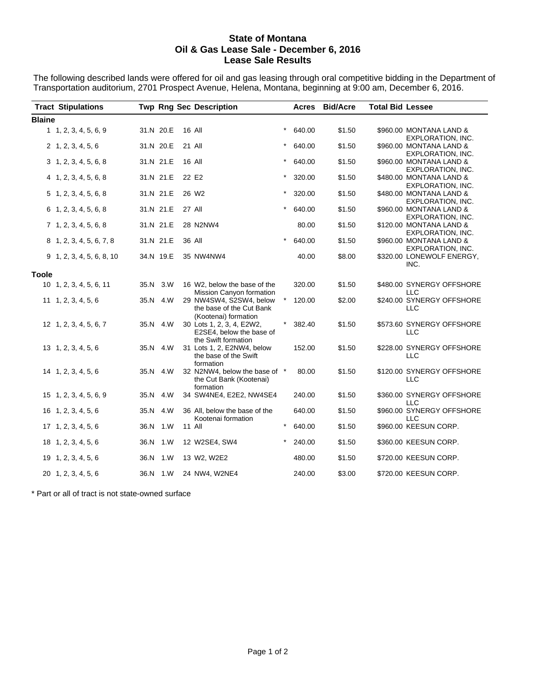#### **State of Montana Oil & Gas Lease Sale - December 6, 2016 Lease Sale Results**

The following described lands were offered for oil and gas leasing through oral competitive bidding in the Department of Transportation auditorium, 2701 Prospect Avenue, Helena, Montana, beginning at 9:00 am, December 6, 2016.

|               | <b>Tract Stipulations</b>   |           |               | <b>Twp Rng Sec Description</b>                                               |            | Acres  | <b>Bid/Acre</b> | <b>Total Bid Lessee</b> |                                                     |
|---------------|-----------------------------|-----------|---------------|------------------------------------------------------------------------------|------------|--------|-----------------|-------------------------|-----------------------------------------------------|
| <b>Blaine</b> |                             |           |               |                                                                              |            |        |                 |                         |                                                     |
|               | 1, 1, 2, 3, 4, 5, 6, 9      | 31.N 20.E | <b>16 All</b> |                                                                              | $\star$    | 640.00 | \$1.50          |                         | \$960.00 MONTANA LAND &<br>EXPLORATION, INC.        |
|               | 2, 1, 2, 3, 4, 5, 6         | 31.N 20.E | 21 All        |                                                                              |            | 640.00 | \$1.50          |                         | \$960.00 MONTANA LAND &<br><b>EXPLORATION, INC.</b> |
|               | 3, 1, 2, 3, 4, 5, 6, 8      | 31.N 21.E | 16 All        |                                                                              | $\star$    | 640.00 | \$1.50          |                         | \$960.00 MONTANA LAND &<br>EXPLORATION, INC.        |
|               | $4$ 1, 2, 3, 4, 5, 6, 8     | 31.N 21.E |               | 22 E2                                                                        | $^\star$   | 320.00 | \$1.50          |                         | \$480.00 MONTANA LAND &<br>EXPLORATION, INC.        |
|               | $5\; 1, 2, 3, 4, 5, 6, 8$   | 31.N 21.E |               | 26 W <sub>2</sub>                                                            | $^\star$   | 320.00 | \$1.50          |                         | \$480.00 MONTANA LAND &<br><b>EXPLORATION, INC.</b> |
|               | 6 1, 2, 3, 4, 5, 6, 8       | 31.N 21.E | <b>27 All</b> |                                                                              | $\star$    | 640.00 | \$1.50          |                         | \$960.00 MONTANA LAND &<br>EXPLORATION, INC.        |
|               | $7\; 1, 2, 3, 4, 5, 6, 8$   | 31.N 21.E |               | 28 N2NW4                                                                     |            | 80.00  | \$1.50          |                         | \$120.00 MONTANA LAND &<br>EXPLORATION, INC.        |
|               | 8 1, 2, 3, 4, 5, 6, 7, 8    | 31.N 21.E |               | 36 All                                                                       | $^{\star}$ | 640.00 | \$1.50          |                         | \$960.00 MONTANA LAND &<br>EXPLORATION, INC.        |
|               | 9 1, 2, 3, 4, 5, 6, 8, 10   | 34.N 19.E |               | 35 NW4NW4                                                                    |            | 40.00  | \$8.00          |                         | \$320.00 LONEWOLF ENERGY,<br>INC.                   |
| <b>Toole</b>  |                             |           |               |                                                                              |            |        |                 |                         |                                                     |
|               | 10 1, 2, 3, 4, 5, 6, 11     | 35.N 3.W  |               | 16 W2, below the base of the<br>Mission Canyon formation                     |            | 320.00 | \$1.50          |                         | \$480.00 SYNERGY OFFSHORE<br>LLC                    |
|               | $11 \quad 1, 2, 3, 4, 5, 6$ | 35.N 4.W  |               | 29 NW4SW4, S2SW4, below<br>the base of the Cut Bank<br>(Kootenai) formation  |            | 120.00 | \$2.00          |                         | \$240.00 SYNERGY OFFSHORE<br>LLC                    |
|               | 12 1, 2, 3, 4, 5, 6, 7      | 35.N 4.W  |               | 30 Lots 1, 2, 3, 4, E2W2,<br>E2SE4, below the base of<br>the Swift formation |            | 382.40 | \$1.50          |                         | \$573.60 SYNERGY OFFSHORE<br>LLC                    |
|               | $13 \quad 1, 2, 3, 4, 5, 6$ | 35.N 4.W  |               | 31 Lots 1, 2, E2NW4, below<br>the base of the Swift<br>formation             |            | 152.00 | \$1.50          |                         | \$228.00 SYNERGY OFFSHORE<br>LLC                    |
|               | 14 1, 2, 3, 4, 5, 6         | 35.N 4.W  |               | 32 N2NW4, below the base of *<br>the Cut Bank (Kootenai)<br>formation        |            | 80.00  | \$1.50          |                         | \$120.00 SYNERGY OFFSHORE<br><b>LLC</b>             |
|               | 15 1, 2, 3, 4, 5, 6, 9      | 35.N 4.W  |               | 34 SW4NE4, E2E2, NW4SE4                                                      |            | 240.00 | \$1.50          |                         | \$360.00 SYNERGY OFFSHORE<br><b>LLC</b>             |
|               | 16 1, 2, 3, 4, 5, 6         | 35.N 4.W  |               | 36 All, below the base of the<br>Kootenai formation                          |            | 640.00 | \$1.50          |                         | \$960.00 SYNERGY OFFSHORE<br>LLC                    |
|               | 17 1, 2, 3, 4, 5, 6         | 36.N 1.W  |               | 11 All                                                                       | $\star$    | 640.00 | \$1.50          |                         | \$960.00 KEESUN CORP.                               |
|               | $18$ 1, 2, 3, 4, 5, 6       | 36.N 1.W  |               | 12 W2SE4, SW4                                                                |            | 240.00 | \$1.50          |                         | \$360.00 KEESUN CORP.                               |
|               | 19 1, 2, 3, 4, 5, 6         | 36.N 1.W  |               | 13 W2, W2E2                                                                  |            | 480.00 | \$1.50          |                         | \$720.00 KEESUN CORP.                               |
|               | 20 1, 2, 3, 4, 5, 6         | 36.N 1.W  |               | 24 NW4, W2NE4                                                                |            | 240.00 | \$3.00          |                         | \$720.00 KEESUN CORP.                               |

\* Part or all of tract is not state-owned surface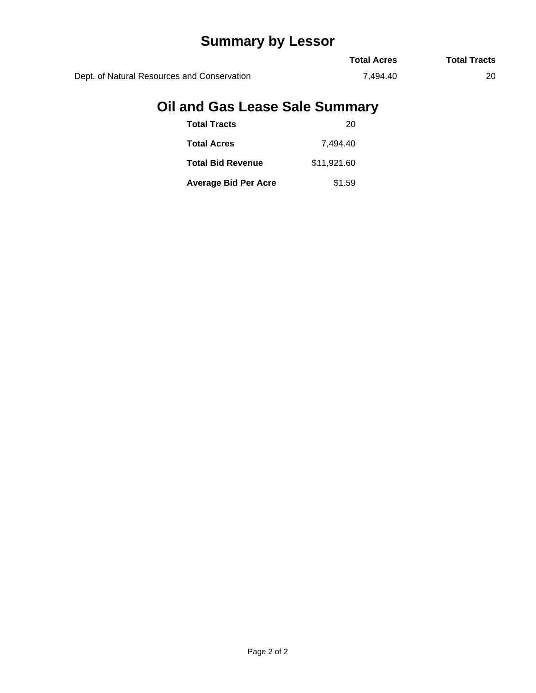# **Summary by Lessor**

|                                             | <b>Total Acres</b> | <b>Total Tracts</b> |
|---------------------------------------------|--------------------|---------------------|
| Dept. of Natural Resources and Conservation | 7.494.40           |                     |

## **Oil and Gas Lease Sale Summary**

| <b>Total Tracts</b>         | 20          |
|-----------------------------|-------------|
| <b>Total Acres</b>          | 7.494.40    |
| <b>Total Bid Revenue</b>    | \$11,921.60 |
| <b>Average Bid Per Acre</b> | \$1.59      |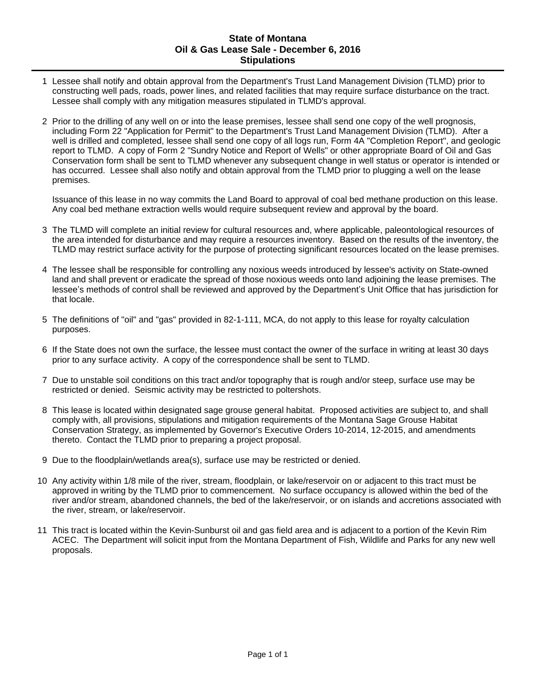#### **State of Montana Oil & Gas Lease Sale - December 6, 2016 Stipulations**

- 1 Lessee shall notify and obtain approval from the Department's Trust Land Management Division (TLMD) prior to constructing well pads, roads, power lines, and related facilities that may require surface disturbance on the tract. Lessee shall comply with any mitigation measures stipulated in TLMD's approval.
- 2 Prior to the drilling of any well on or into the lease premises, lessee shall send one copy of the well prognosis, including Form 22 "Application for Permit" to the Department's Trust Land Management Division (TLMD). After a well is drilled and completed, lessee shall send one copy of all logs run, Form 4A "Completion Report", and geologic report to TLMD. A copy of Form 2 "Sundry Notice and Report of Wells" or other appropriate Board of Oil and Gas Conservation form shall be sent to TLMD whenever any subsequent change in well status or operator is intended or has occurred. Lessee shall also notify and obtain approval from the TLMD prior to plugging a well on the lease premises.

Issuance of this lease in no way commits the Land Board to approval of coal bed methane production on this lease. Any coal bed methane extraction wells would require subsequent review and approval by the board.

- 3 The TLMD will complete an initial review for cultural resources and, where applicable, paleontological resources of the area intended for disturbance and may require a resources inventory. Based on the results of the inventory, the TLMD may restrict surface activity for the purpose of protecting significant resources located on the lease premises.
- 4 The lessee shall be responsible for controlling any noxious weeds introduced by lessee's activity on State-owned land and shall prevent or eradicate the spread of those noxious weeds onto land adjoining the lease premises. The lessee's methods of control shall be reviewed and approved by the Department's Unit Office that has jurisdiction for that locale.
- 5 The definitions of "oil" and "gas" provided in 82-1-111, MCA, do not apply to this lease for royalty calculation purposes.
- 6 If the State does not own the surface, the lessee must contact the owner of the surface in writing at least 30 days prior to any surface activity. A copy of the correspondence shall be sent to TLMD.
- 7 Due to unstable soil conditions on this tract and/or topography that is rough and/or steep, surface use may be restricted or denied. Seismic activity may be restricted to poltershots.
- 8 This lease is located within designated sage grouse general habitat. Proposed activities are subject to, and shall comply with, all provisions, stipulations and mitigation requirements of the Montana Sage Grouse Habitat Conservation Strategy, as implemented by Governor's Executive Orders 10-2014, 12-2015, and amendments thereto. Contact the TLMD prior to preparing a project proposal.
- 9 Due to the floodplain/wetlands area(s), surface use may be restricted or denied.
- 10 Any activity within 1/8 mile of the river, stream, floodplain, or lake/reservoir on or adjacent to this tract must be approved in writing by the TLMD prior to commencement. No surface occupancy is allowed within the bed of the river and/or stream, abandoned channels, the bed of the lake/reservoir, or on islands and accretions associated with the river, stream, or lake/reservoir.
- 11 This tract is located within the Kevin-Sunburst oil and gas field area and is adjacent to a portion of the Kevin Rim ACEC. The Department will solicit input from the Montana Department of Fish, Wildlife and Parks for any new well proposals.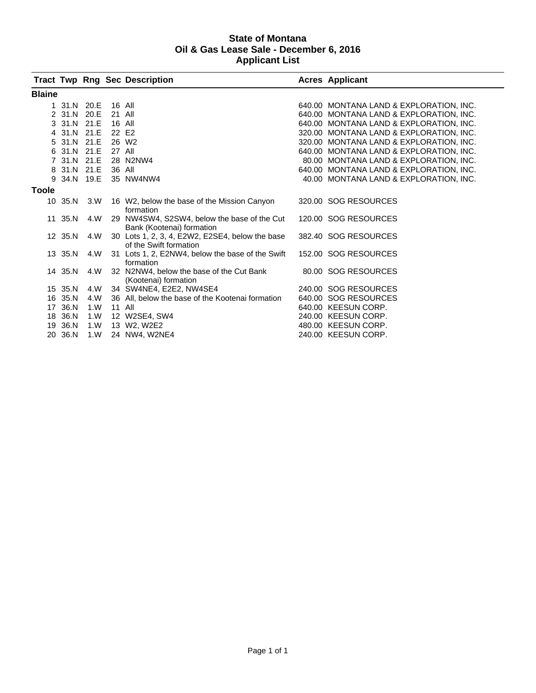#### **State of Montana Oil & Gas Lease Sale - December 6, 2016 Applicant List**

|               |             |      |        | <b>Tract Twp Rng Sec Description</b>                                      | <b>Acres Applicant</b>                  |
|---------------|-------------|------|--------|---------------------------------------------------------------------------|-----------------------------------------|
| <b>Blaine</b> |             |      |        |                                                                           |                                         |
|               | 1 31.N 20.E |      |        | 16 All                                                                    | 640.00 MONTANA LAND & EXPLORATION, INC. |
|               | 2 31.N 20.E |      | 21 All |                                                                           | 640.00 MONTANA LAND & EXPLORATION, INC. |
|               | 3 31.N 21.E |      | 16 All |                                                                           | 640.00 MONTANA LAND & EXPLORATION, INC. |
|               | 4 31.N 21.E |      | 22 E2  |                                                                           | 320.00 MONTANA LAND & EXPLORATION, INC. |
|               | 5 31.N 21.E |      |        | 26 W <sub>2</sub>                                                         | 320.00 MONTANA LAND & EXPLORATION, INC. |
|               | 6 31.N 21.E |      | 27 All |                                                                           | 640.00 MONTANA LAND & EXPLORATION. INC. |
|               | 7 31.N 21.E |      |        | 28 N2NW4                                                                  | 80.00 MONTANA LAND & EXPLORATION, INC.  |
|               | 8 31.N 21.E |      | 36 All |                                                                           | 640.00 MONTANA LAND & EXPLORATION, INC. |
|               | 9 34.N 19.E |      |        | 35 NW4NW4                                                                 | 40.00 MONTANA LAND & EXPLORATION, INC.  |
| <b>Toole</b>  |             |      |        |                                                                           |                                         |
|               | 10 35.N     | 3.W  |        | 16 W2, below the base of the Mission Canyon<br>formation                  | 320.00 SOG RESOURCES                    |
|               | 11 35.N 4.W |      |        | 29 NW4SW4, S2SW4, below the base of the Cut<br>Bank (Kootenai) formation  | 120.00 SOG RESOURCES                    |
|               | 12 35.N     | 4.W  |        | 30 Lots 1, 2, 3, 4, E2W2, E2SE4, below the base<br>of the Swift formation | 382.40 SOG RESOURCES                    |
|               | 13 35.N     | 4.W  |        | 31 Lots 1, 2, E2NW4, below the base of the Swift<br>formation             | 152.00 SOG RESOURCES                    |
|               | 14 35.N     | 4.W  |        | 32 N2NW4, below the base of the Cut Bank<br>(Kootenai) formation          | 80.00 SOG RESOURCES                     |
|               | 15 35.N     | 4.W  |        | 34 SW4NE4, E2E2, NW4SE4                                                   | 240.00 SOG RESOURCES                    |
|               | 16 35.N     | 4.W  |        | 36 All, below the base of the Kootenai formation                          | 640.00 SOG RESOURCES                    |
|               | 17 36.N     | 1.0V |        | 11 All                                                                    | 640.00 KEESUN CORP.                     |
|               | 18 36.N     | 1. W |        | 12 W2SE4, SW4                                                             | 240.00 KEESUN CORP.                     |
|               | 19 36.N     | 1.0V |        | 13 W2, W2E2                                                               | 480.00 KEESUN CORP.                     |
|               | 20 36.N     | 1. W |        | 24 NW4, W2NE4                                                             | 240.00 KEESUN CORP.                     |